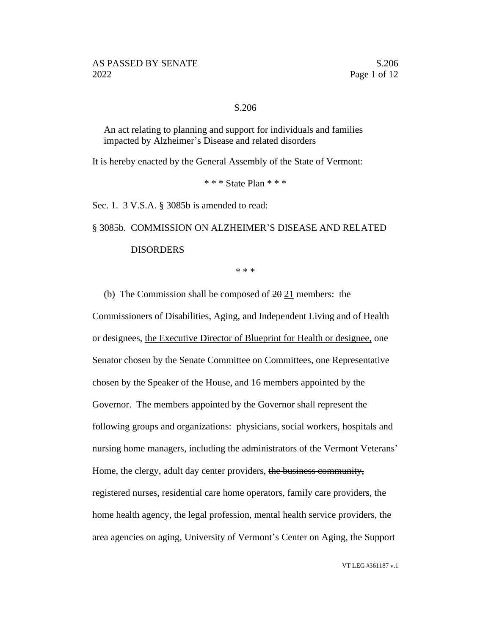#### S.206

An act relating to planning and support for individuals and families impacted by Alzheimer's Disease and related disorders

It is hereby enacted by the General Assembly of the State of Vermont:

\* \* \* State Plan \* \* \*

Sec. 1. 3 V.S.A. § 3085b is amended to read:

# § 3085b. COMMISSION ON ALZHEIMER'S DISEASE AND RELATED

# DISORDERS

\* \* \*

(b) The Commission shall be composed of  $2\theta$   $21$  members: the

Commissioners of Disabilities, Aging, and Independent Living and of Health or designees, the Executive Director of Blueprint for Health or designee, one Senator chosen by the Senate Committee on Committees, one Representative chosen by the Speaker of the House, and 16 members appointed by the Governor. The members appointed by the Governor shall represent the following groups and organizations: physicians, social workers, hospitals and nursing home managers, including the administrators of the Vermont Veterans' Home, the clergy, adult day center providers, the business community, registered nurses, residential care home operators, family care providers, the home health agency, the legal profession, mental health service providers, the area agencies on aging, University of Vermont's Center on Aging, the Support

VT LEG #361187 v.1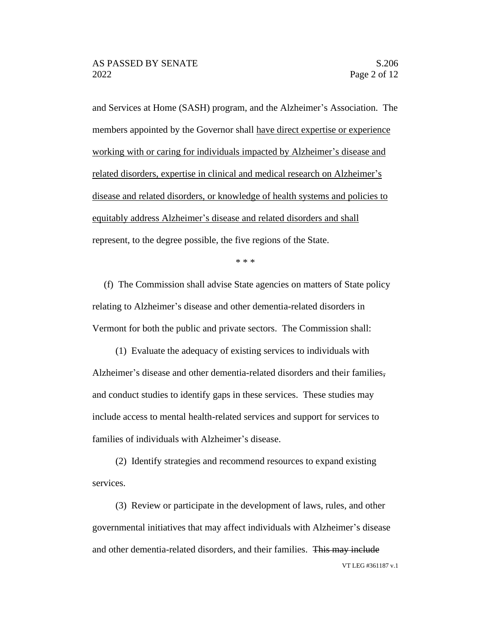and Services at Home (SASH) program, and the Alzheimer's Association. The members appointed by the Governor shall have direct expertise or experience working with or caring for individuals impacted by Alzheimer's disease and related disorders, expertise in clinical and medical research on Alzheimer's disease and related disorders, or knowledge of health systems and policies to equitably address Alzheimer's disease and related disorders and shall represent, to the degree possible, the five regions of the State.

\* \* \*

(f) The Commission shall advise State agencies on matters of State policy relating to Alzheimer's disease and other dementia-related disorders in Vermont for both the public and private sectors. The Commission shall:

(1) Evaluate the adequacy of existing services to individuals with Alzheimer's disease and other dementia-related disorders and their families, and conduct studies to identify gaps in these services. These studies may include access to mental health-related services and support for services to families of individuals with Alzheimer's disease.

(2) Identify strategies and recommend resources to expand existing services.

VT LEG #361187 v.1 (3) Review or participate in the development of laws, rules, and other governmental initiatives that may affect individuals with Alzheimer's disease and other dementia-related disorders, and their families. This may include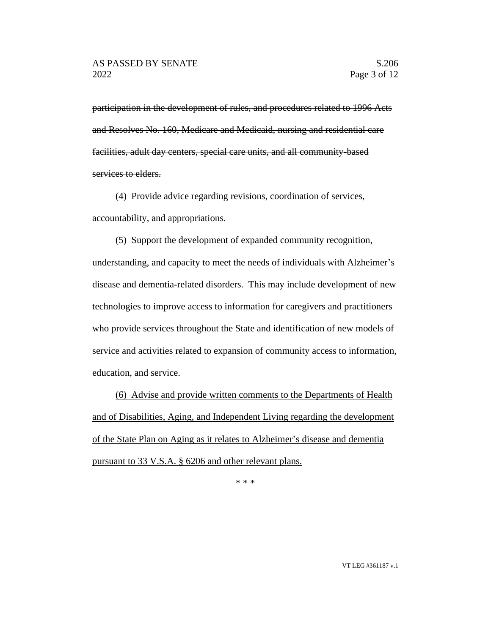participation in the development of rules, and procedures related to 1996 Acts and Resolves No. 160, Medicare and Medicaid, nursing and residential care facilities, adult day centers, special care units, and all community-based services to elders.

(4) Provide advice regarding revisions, coordination of services, accountability, and appropriations.

(5) Support the development of expanded community recognition, understanding, and capacity to meet the needs of individuals with Alzheimer's disease and dementia-related disorders. This may include development of new technologies to improve access to information for caregivers and practitioners who provide services throughout the State and identification of new models of service and activities related to expansion of community access to information, education, and service.

(6) Advise and provide written comments to the Departments of Health and of Disabilities, Aging, and Independent Living regarding the development of the State Plan on Aging as it relates to Alzheimer's disease and dementia pursuant to 33 V.S.A. § 6206 and other relevant plans.

\* \* \*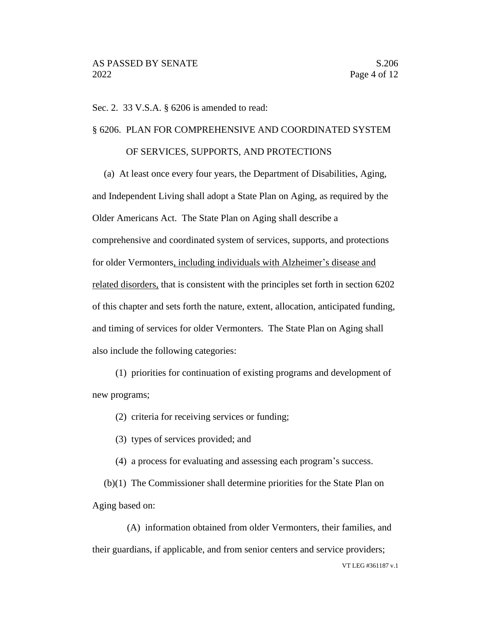Sec. 2. 33 V.S.A. § 6206 is amended to read:

# § 6206. PLAN FOR COMPREHENSIVE AND COORDINATED SYSTEM

## OF SERVICES, SUPPORTS, AND PROTECTIONS

(a) At least once every four years, the Department of Disabilities, Aging, and Independent Living shall adopt a State Plan on Aging, as required by the Older Americans Act. The State Plan on Aging shall describe a comprehensive and coordinated system of services, supports, and protections for older Vermonters, including individuals with Alzheimer's disease and related disorders, that is consistent with the principles set forth in section 6202 of this chapter and sets forth the nature, extent, allocation, anticipated funding, and timing of services for older Vermonters. The State Plan on Aging shall also include the following categories:

(1) priorities for continuation of existing programs and development of new programs;

(2) criteria for receiving services or funding;

(3) types of services provided; and

(4) a process for evaluating and assessing each program's success.

(b)(1) The Commissioner shall determine priorities for the State Plan on Aging based on:

VT LEG #361187 v.1 (A) information obtained from older Vermonters, their families, and their guardians, if applicable, and from senior centers and service providers;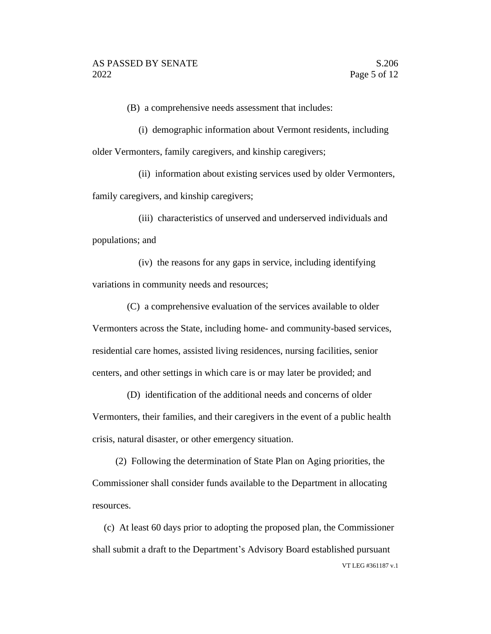(B) a comprehensive needs assessment that includes:

(i) demographic information about Vermont residents, including older Vermonters, family caregivers, and kinship caregivers;

(ii) information about existing services used by older Vermonters, family caregivers, and kinship caregivers;

(iii) characteristics of unserved and underserved individuals and populations; and

(iv) the reasons for any gaps in service, including identifying variations in community needs and resources;

(C) a comprehensive evaluation of the services available to older Vermonters across the State, including home- and community-based services, residential care homes, assisted living residences, nursing facilities, senior centers, and other settings in which care is or may later be provided; and

(D) identification of the additional needs and concerns of older Vermonters, their families, and their caregivers in the event of a public health crisis, natural disaster, or other emergency situation.

(2) Following the determination of State Plan on Aging priorities, the Commissioner shall consider funds available to the Department in allocating resources.

VT LEG #361187 v.1 (c) At least 60 days prior to adopting the proposed plan, the Commissioner shall submit a draft to the Department's Advisory Board established pursuant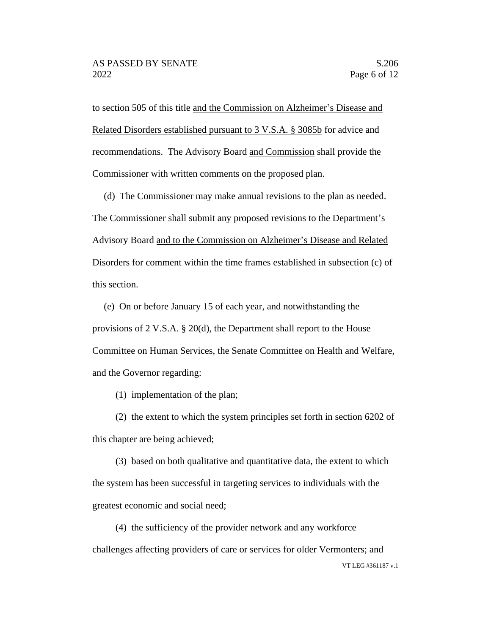to section 505 of this title and the Commission on Alzheimer's Disease and Related Disorders established pursuant to 3 V.S.A. § 3085b for advice and recommendations. The Advisory Board and Commission shall provide the Commissioner with written comments on the proposed plan.

(d) The Commissioner may make annual revisions to the plan as needed. The Commissioner shall submit any proposed revisions to the Department's Advisory Board and to the Commission on Alzheimer's Disease and Related Disorders for comment within the time frames established in subsection (c) of this section.

(e) On or before January 15 of each year, and notwithstanding the provisions of 2 V.S.A. § 20(d), the Department shall report to the House Committee on Human Services, the Senate Committee on Health and Welfare, and the Governor regarding:

(1) implementation of the plan;

(2) the extent to which the system principles set forth in section 6202 of this chapter are being achieved;

(3) based on both qualitative and quantitative data, the extent to which the system has been successful in targeting services to individuals with the greatest economic and social need;

(4) the sufficiency of the provider network and any workforce challenges affecting providers of care or services for older Vermonters; and

VT LEG #361187 v.1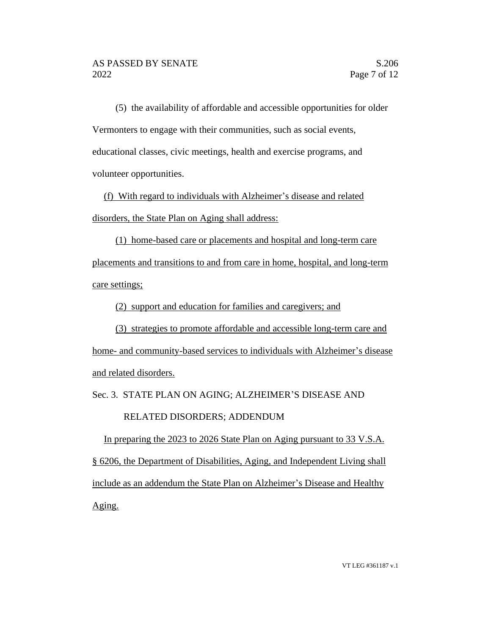(5) the availability of affordable and accessible opportunities for older Vermonters to engage with their communities, such as social events, educational classes, civic meetings, health and exercise programs, and volunteer opportunities.

(f) With regard to individuals with Alzheimer's disease and related disorders, the State Plan on Aging shall address:

(1) home-based care or placements and hospital and long-term care placements and transitions to and from care in home, hospital, and long-term care settings;

(2) support and education for families and caregivers; and

(3) strategies to promote affordable and accessible long-term care and home- and community-based services to individuals with Alzheimer's disease and related disorders.

Sec. 3. STATE PLAN ON AGING; ALZHEIMER'S DISEASE AND

# RELATED DISORDERS; ADDENDUM

In preparing the 2023 to 2026 State Plan on Aging pursuant to 33 V.S.A. § 6206, the Department of Disabilities, Aging, and Independent Living shall include as an addendum the State Plan on Alzheimer's Disease and Healthy Aging.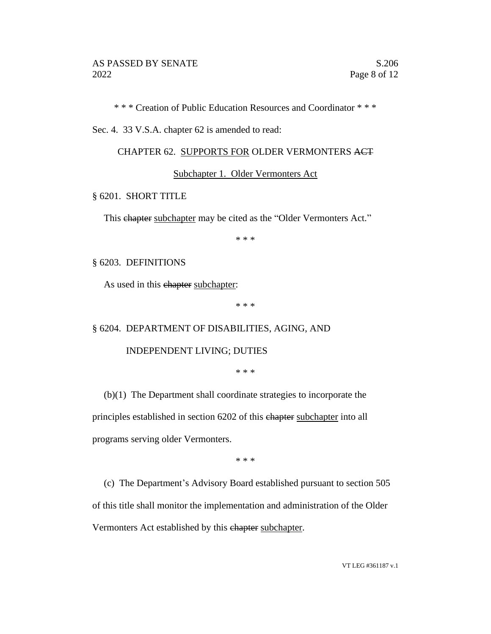\* \* \* Creation of Public Education Resources and Coordinator \* \* \*

Sec. 4. 33 V.S.A. chapter 62 is amended to read:

#### CHAPTER 62. SUPPORTS FOR OLDER VERMONTERS ACT

#### Subchapter 1. Older Vermonters Act

## § 6201. SHORT TITLE

This ehapter subchapter may be cited as the "Older Vermonters Act."

\* \* \*

#### § 6203. DEFINITIONS

As used in this ehapter subchapter:

\* \* \*

#### § 6204. DEPARTMENT OF DISABILITIES, AGING, AND

#### INDEPENDENT LIVING; DUTIES

\* \* \*

(b)(1) The Department shall coordinate strategies to incorporate the principles established in section 6202 of this chapter subchapter into all programs serving older Vermonters.

\* \* \*

(c) The Department's Advisory Board established pursuant to section 505 of this title shall monitor the implementation and administration of the Older Vermonters Act established by this ehapter subchapter.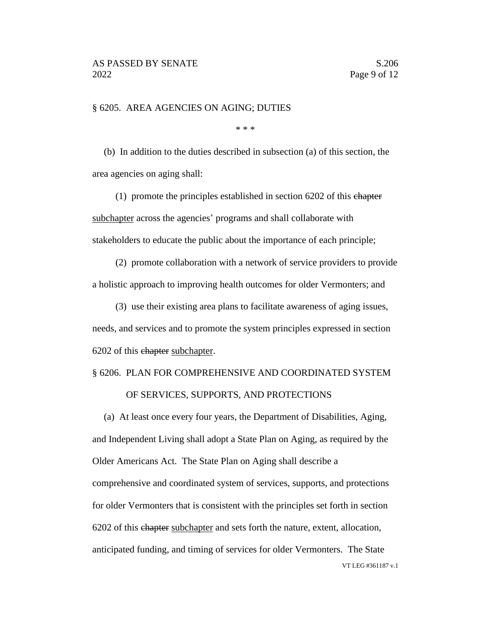§ 6205. AREA AGENCIES ON AGING; DUTIES

\* \* \*

(b) In addition to the duties described in subsection (a) of this section, the area agencies on aging shall:

(1) promote the principles established in section 6202 of this chapter subchapter across the agencies' programs and shall collaborate with stakeholders to educate the public about the importance of each principle;

(2) promote collaboration with a network of service providers to provide a holistic approach to improving health outcomes for older Vermonters; and

(3) use their existing area plans to facilitate awareness of aging issues, needs, and services and to promote the system principles expressed in section 6202 of this chapter subchapter.

# § 6206. PLAN FOR COMPREHENSIVE AND COORDINATED SYSTEM OF SERVICES, SUPPORTS, AND PROTECTIONS

VT LEG #361187 v.1 (a) At least once every four years, the Department of Disabilities, Aging, and Independent Living shall adopt a State Plan on Aging, as required by the Older Americans Act. The State Plan on Aging shall describe a comprehensive and coordinated system of services, supports, and protections for older Vermonters that is consistent with the principles set forth in section 6202 of this chapter subchapter and sets forth the nature, extent, allocation, anticipated funding, and timing of services for older Vermonters. The State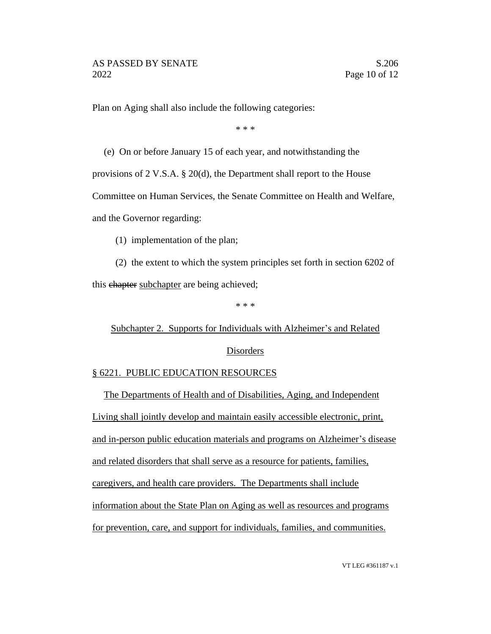Plan on Aging shall also include the following categories:

\* \* \*

(e) On or before January 15 of each year, and notwithstanding the

provisions of 2 V.S.A. § 20(d), the Department shall report to the House

Committee on Human Services, the Senate Committee on Health and Welfare,

and the Governor regarding:

(1) implementation of the plan;

(2) the extent to which the system principles set forth in section 6202 of this chapter subchapter are being achieved;

\* \* \*

Subchapter 2. Supports for Individuals with Alzheimer's and Related Disorders

# § 6221. PUBLIC EDUCATION RESOURCES

The Departments of Health and of Disabilities, Aging, and Independent Living shall jointly develop and maintain easily accessible electronic, print, and in-person public education materials and programs on Alzheimer's disease and related disorders that shall serve as a resource for patients, families, caregivers, and health care providers. The Departments shall include information about the State Plan on Aging as well as resources and programs for prevention, care, and support for individuals, families, and communities.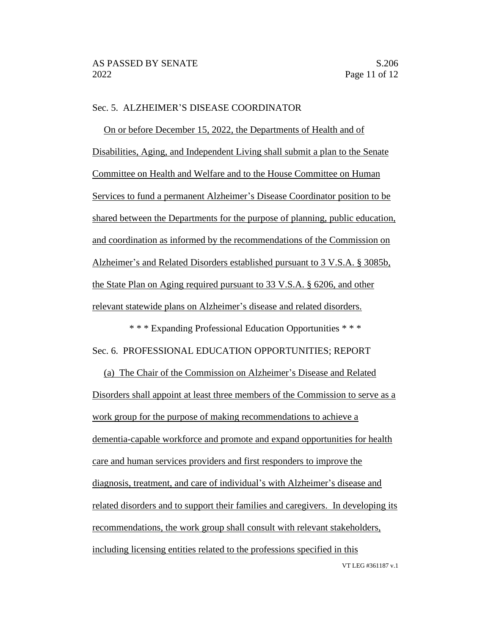# Sec. 5. ALZHEIMER'S DISEASE COORDINATOR

On or before December 15, 2022, the Departments of Health and of Disabilities, Aging, and Independent Living shall submit a plan to the Senate Committee on Health and Welfare and to the House Committee on Human Services to fund a permanent Alzheimer's Disease Coordinator position to be shared between the Departments for the purpose of planning, public education, and coordination as informed by the recommendations of the Commission on Alzheimer's and Related Disorders established pursuant to 3 V.S.A. § 3085b, the State Plan on Aging required pursuant to 33 V.S.A. § 6206, and other relevant statewide plans on Alzheimer's disease and related disorders.

\* \* \* Expanding Professional Education Opportunities \* \* \* Sec. 6. PROFESSIONAL EDUCATION OPPORTUNITIES; REPORT

(a) The Chair of the Commission on Alzheimer's Disease and Related Disorders shall appoint at least three members of the Commission to serve as a work group for the purpose of making recommendations to achieve a dementia-capable workforce and promote and expand opportunities for health care and human services providers and first responders to improve the diagnosis, treatment, and care of individual's with Alzheimer's disease and related disorders and to support their families and caregivers. In developing its recommendations, the work group shall consult with relevant stakeholders, including licensing entities related to the professions specified in this

VT LEG #361187 v.1